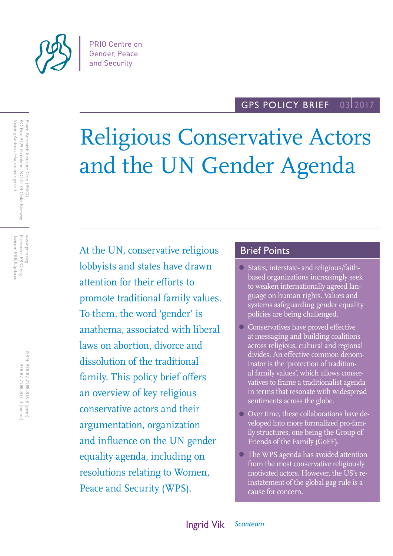

#### GPS POLICY BRIEF 03 2017

# Religious Conservative Actors and the UN Gender Agenda

At the UN, conservative religious lobbyists and states have drawn attention for their efforts to promote traditional family values. To them, the word 'gender' is anathema, associated with liberal laws on abortion, divorce and dissolution of the traditional family. This policy brief offers an overview of key religious conservative actors and their argumentation, organization and influence on the UN gender equality agenda, including on resolutions relating to Women, Peace and Security (WPS).

## Brief Points

- States, interstate- and religious/faithbased organizations increasingly seek to weaken internationally agreed language on human rights. Values and systems safeguarding gender equality policies are being challenged.
- Conservatives have proved effective at messaging and building coalitions across religious, cultural and regional divides. An effective common denominator is the 'protection of traditional family values', which allows conservatives to frame a traditionalist agenda in terms that resonate with widespread sentiments across the globe.
- Over time, these collaborations have developed into more formalized pro-family structures, one being the Group of Friends of the Family (GoFF).
- The WPS agenda has avoided attention from the most conservative religiously motivated actors. However, the US's reinstatement of the global gag rule is a cause for concern.

Facebook: PRIO.org<br>Twitter: PRIOUpdates Twitter: PRIOUpdates Facebook: PRIO.org www.prio.org www.prio.org

> ISBN: 978-82-7288-836-6 (print) 978-82-7288-837-3 (online) 978-82-7288-837-3 (online) 978-82-7288-836-6 (print)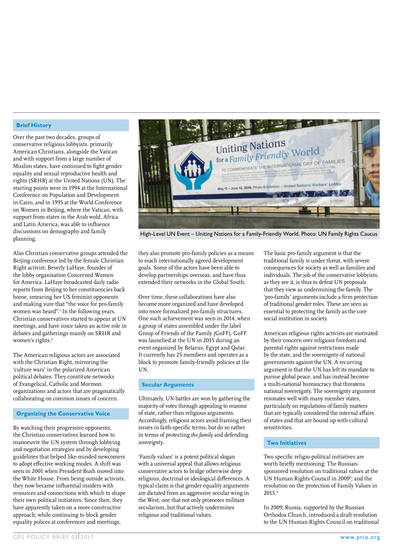#### **Brief History**

Over the past two decades, groups of conservative religious lobbyists, primarily American Christians, alongside the Vatican and with support from a large number of Muslim states, have continued to fight gender equality and sexual reproductive health and rights (SRHR) at the United Nations (UN). The starting points were in 1994 at the International Conference on Population and Development in Cairo, and in 1995 at the World Conference on Women in Beijing, where the Vatican, with support from states in the Arab wold, Africa and Latin America, was able to influence discussions on demography and family planning.

Also Christian conservative groups attended the Beijing conference led by the female Christian Right activist, Beverly LaHaye, founder of the lobby organisation Concerned Women for America. LaHaye broadcasted daily radio reports from Beijing to her constituencies back home, smearing her US feminist opponents and making sure that "the voice for pro-family women was heard".1 In the following years, Christian conservatives started to appear at UN meetings, and have since taken an active role in debates and gatherings mainly on SRHR and women's rights.<sup>2</sup>

The American religious actors are associated with the Christian Right, mirroring the 'culture wars' in the polarized American political debates. They constitute networks of Evangelical, Catholic and Mormon organizations and actors that are pragmatically collaborating on common issues of concern.

#### **Organizing the Conservative Voice**

By watching their progressive opponents, the Christian conservatives learned how to manoeuvre the UN system through lobbying and negotiation strategies and by developing guidelines that helped like-minded newcomers to adopt effective working modes. A shift was seen in 2001 when President Bush moved into the White House. From being outside activists, they now became influential insiders with resources and connections with which to shape their own political initiatives. Since then, they have apparently taken on a more constructive approach; while continuing to block gender equality polices at conferences and meetings,



High-Level UN Event – Uniting Nations for a Family-Friendly World. Photo: UN Family Rights Caucus

they also promote pro-family policies as a means to reach internationally agreed development goals. Some of the actors have been able to develop partnerships overseas, and have thus extended their networks in the Global South.

Over time, these collaborations have also become more organized and have developed into more formalized pro-family structures. One such achievement was seen in 2014, when a group of states assembled under the label Group of Friends of the Family (GoFF). GoFF was launched at the UN in 2015 during an event organized by Belarus, Egypt and Qatar. It currently has 25 members and operates as a block to promote family-friendly policies at the UN.

#### **Secular Arguments**

Ultimately, UN battles are won by gathering the majority of votes through appealing to reasons of state, rather than religious arguments. Accordingly, religious actors avoid framing their issues in faith-specific terms, but do so rather in terms of protecting *the family* and defending *sovereignty*.

'Family values' is a potent political slogan with a universal appeal that allows religious conservative actors to bridge otherwise deep religious, doctrinal or ideological differences. A typical claim is that gender equality arguments are dictated from an aggressive secular wing in the West, one that not only promotes militant secularism, but that actively undermines religious and traditional values.

The basic pro-family argument is that the traditional family is under threat, with severe consequences for society as well as families and individuals. The job of the conservative lobbyists, as they see it, is thus to defeat UN proposals that they view as undermining the family. The 'pro-family' arguments include a firm protection of traditional gender roles. These are seen as essential to protecting the family as the core social institution in society.

American religious rights activists are motivated by their concern over religious freedom and parental rights against restrictions made by the state, and the sovereignty of national governments against the UN. A recurring argument is that the UN has left its mandate to pursue global peace, and has instead become a multi-national bureaucracy that threatens national sovereignty. The sovereignty argument resonates well with many member states, particularly on regulations of family matters that are typically considered the internal affairs of states and that are bound up with cultural sensitivities.

#### **Two Initiatives**

Two specific religio-political initiatives are worth briefly mentioning: The Russiansponsored resolution on traditional values at the UN Human Rights Council in 2009<sup>3</sup>; and the resolution on the protection of Family Values in 2015.4

In 2009, Russia, supported by the Russian Orthodox Church, introduced a draft resolution to the UN Human Rights Council on traditional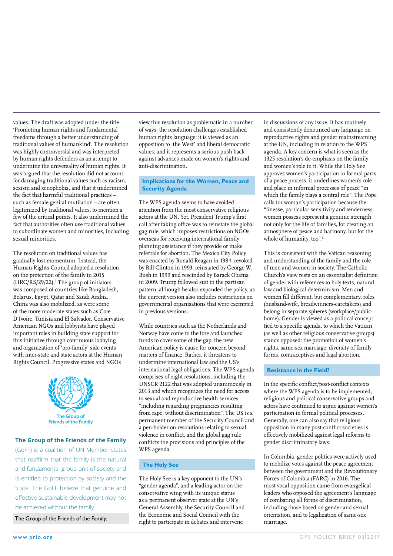by human rights defenders as an attempt to undermine the universality of human rights. It was argued that the resolution did not account for damaging traditional values such as racism, sexism and xenophobia, and that it undermined the fact that harmful traditional practices – such as female genital mutilation – are often legitimized by traditional values, to mention a few of the critical points. It also undermined the fact that authorities often use traditional values to subordinate women and minorities, including sexual minorities. The resolution on traditional values has gradually lost momentum. Instead, the Human Rights Council adopted a resolution on the protection of the family in 2015

values. The draft was adopted under the title 'Promoting human rights and fundamental freedoms through a better understanding of traditional values of humankind'. The resolution was highly controversial and was interpreted

 $(HRC/RS/29/22).$ <sup>5</sup> The group of initiators was composed of countries like Bangladesh, Belarus, Egypt, Qatar and Saudi Arabia. China was also mobilized, as were some of the more moderate states such as Cote D'Ivoire, Tunisia and El Salvador. Conservative American NGOs and lobbyists have played While countries such as the Netherlands and tied to a specific agenda, to which th important roles in building state support for this initiative through continuous lobbying and organization of 'pro-family' side events with inter-state and state actors at the Human Rights Council. Progressive states and NGOs



### The Group of the Friends of the Family

(GoFF) is a coalition of UN Member States that reaffirm that the family is the natural and fundamental group unit of society and is entitled to protection by society and the State. The GoFF believe that genuine and effective sustainable development may not be achieved without the family.

The Group of the Friends of the Family.

view this resolution as problematic in a number of ways: the resolution challenges established human rights language; it is viewed as an opposition to 'the West' and liberal democratic values; and it represents a serious push back against advances made on women's rights and anti-discrimination.

#### **Implications for the Women, Peace and Security Agenda**

The WPS agenda seems to have avoided attention from the most conservative religious actors at the UN. Yet, President Trump's first call after taking office was to reinstate the global gag rule, which imposes restrictions on NGOs overseas for receiving international family planning assistance if they provide or make The resolution on traditional values has stated by referrals for abortion. The Mexico City Policy was enacted by Ronald Reagan in 1984, revoked by Bill Clinton in 1993, reinstated by George W. Bush in 1999 and rescinded by Barack Obama in 2009. Trump followed suit in the partisan pattern, although he also expanded the policy, as the current version also includes restrictions on governmental organisations that were exempted in previous versions.

> While countries such as the Netherlands and Norway have come to the fore and launched funds to cover some of the gap, the new American policy is cause for concern beyond matters of finance. Rather, it threatens to undermine international law and the US's international legal obligations. The WPS agenda comprises of eight resolutions, including the UNSCR 2122 that was adopted unanimously in 2013 and which recognizes the need for access to sexual and reproductive health services, "including regarding pregnancies resulting from rape, without discrimination". The US is a permanent member of the Security Council and a pen-holder on resolutions relating to sexual violence in conflict, and the global gag rule conflicts the provisions and principles of the  $\frac{1}{2}$ WPS agenda. sovereignty and the dignity of the human

### **The Holy See American person. C-FAM person.**

The Holy See is a key opponent to the UN's "gender agenda", and a leading actor on the conservative wing with its unique status as a permanent observer state at the UN's General Assembly, the Security Council and the Economic and Social Council with the right to participate in debates and intervene

in discussions of any issue. It has routinely and consistently denounced any language on reproductive rights and gender mainstreaming at the UN, including in relation to the WPS agenda. A key concern is what is seen as the 1325 resolution's de-emphasis on the family and women's role in it. While the Holy See approves women's participation in formal parts of a peace process, it underlines women's role and place in informal processes of peace "in which the family plays a central role". The Pope calls for woman's participation because the "finesse, particular sensitivity and tenderness women possess represent a genuine strength not only for the life of families, for creating an atmosphere of peace and harmony, but for the whole of humanity, too".<sup>6</sup>

This is consistent with the Vatican reasoning and understanding of the family and the role of men and women in society. The Catholic Church's view rests on an essentialist definition in the partisan of gender with references to holy texts, natural law and biological determinism. Men and women fill different, but complementary, roles (husband-wife, breadwinners-caretakers) and belong in separate spheres (workplace/publichome). Gender is viewed as a political concept tied to a specific agenda, to which the Vatican (as well as other religious conservative groups) stands opposed: the promotion of women's rights, same-sex marriage, diversity of family forms, contraceptives and legal abortion.

#### **Resistance in the Field?**

In the specific conflict/post-conflict contexts where the WPS agenda is to be implemented, religious and political conservative groups and actors have continued to argue against women's participation in formal political processes. participation in formal political processes opposition in many post-conflict societies is effectively mobilized against legal reforms to gender discriminatory laws.

In Columbia, gender politics were actively used to mobilize votes against the peace agreement between the government and the Revolutionary Forces of Colombia (FARC) in 2016. The most vocal opposition came from evangelical leaders who opposed the agreement's language of combating all forms of discrimination, including those based on gender and sexual orientation, and to legalization of same-sex marriage. The children of the matrice  $\mathbf{r}_{\text{max}}$